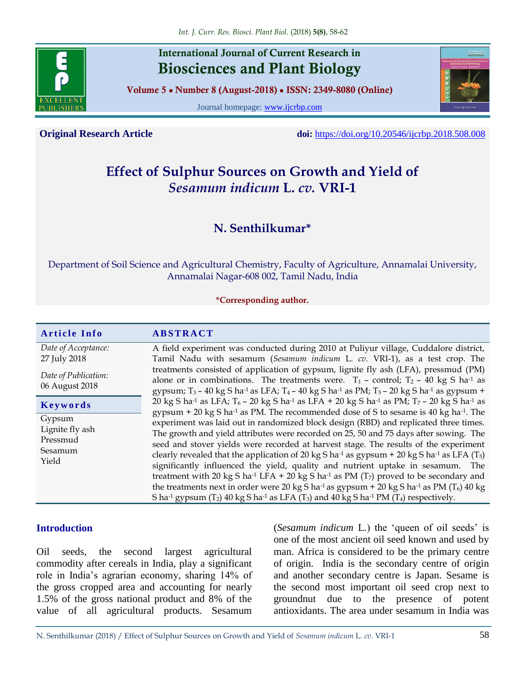

## **International Journal of Current Research in Biosciences and Plant Biology**

**Volume 5 ● Number 8 (August-2018) ● ISSN: 2349-8080 (Online)**

Journal homepage: [www.ijcrbp.com](http://www.ijcrbp.com/)

**Original Research Article doi:** <https://doi.org/10.20546/ijcrbp.2018.508.008>

# **Effect of Sulphur Sources on Growth and Yield of**  *Sesamum indicum* **L.** *cv.* **VRI-1**

# **N. Senthilkumar\***

Department of Soil Science and Agricultural Chemistry, Faculty of Agriculture, Annamalai University, Annamalai Nagar-608 002, Tamil Nadu, India

#### **\*Corresponding author.**

| <b>Article Info</b>                                       | <b>ABSTRACT</b>                                                                                                                                                                                                                                                                                                                                                                                                                                                                                                                                                                                                                                                                                                                                                                                                                                                              |  |  |  |
|-----------------------------------------------------------|------------------------------------------------------------------------------------------------------------------------------------------------------------------------------------------------------------------------------------------------------------------------------------------------------------------------------------------------------------------------------------------------------------------------------------------------------------------------------------------------------------------------------------------------------------------------------------------------------------------------------------------------------------------------------------------------------------------------------------------------------------------------------------------------------------------------------------------------------------------------------|--|--|--|
| Date of Acceptance:<br>27 July 2018                       | A field experiment was conducted during 2010 at Puliyur village, Cuddalore district,<br>Tamil Nadu with sesamum (Sesamum indicum L. cv. VRI-1), as a test crop. The<br>treatments consisted of application of gypsum, lignite fly ash (LFA), pressmud (PM)                                                                                                                                                                                                                                                                                                                                                                                                                                                                                                                                                                                                                   |  |  |  |
| Date of Publication:<br>06 August 2018                    | alone or in combinations. The treatments were. $T_1$ – control; $T_2$ – 40 kg S ha <sup>-1</sup> as<br>gypsum; $T_3$ – 40 kg S ha <sup>-1</sup> as LFA; $T_4$ – 40 kg S ha <sup>-1</sup> as PM; $T_5$ – 20 kg S ha <sup>-1</sup> as gypsum +                                                                                                                                                                                                                                                                                                                                                                                                                                                                                                                                                                                                                                 |  |  |  |
| Keywords                                                  | 20 kg S ha <sup>-1</sup> as LFA; $T_6$ – 20 kg S ha <sup>-1</sup> as LFA + 20 kg S ha <sup>-1</sup> as PM; $T_7$ – 20 kg S ha <sup>-1</sup> as<br>gypsum + 20 kg S ha <sup>-1</sup> as PM. The recommended dose of S to sesame is 40 kg ha <sup>-1</sup> . The                                                                                                                                                                                                                                                                                                                                                                                                                                                                                                                                                                                                               |  |  |  |
| Gypsum<br>Lignite fly ash<br>Pressmud<br>Sesamum<br>Yield | experiment was laid out in randomized block design (RBD) and replicated three times.<br>The growth and yield attributes were recorded on 25, 50 and 75 days after sowing. The<br>seed and stover yields were recorded at harvest stage. The results of the experiment<br>clearly revealed that the application of 20 kg S ha <sup>-1</sup> as gypsum + 20 kg S ha <sup>-1</sup> as LFA (T <sub>5</sub> )<br>significantly influenced the yield, quality and nutrient uptake in sesamum. The<br>treatment with 20 kg S ha <sup>-1</sup> LFA + 20 kg S ha <sup>-1</sup> as PM ( $T_7$ ) proved to be secondary and<br>the treatments next in order were 20 kg S ha <sup>-1</sup> as gypsum + 20 kg S ha <sup>-1</sup> as PM ( $T_6$ ) 40 kg<br>S ha <sup>-1</sup> gypsum $(T_2)$ 40 kg S ha <sup>-1</sup> as LFA $(T_3)$ and 40 kg S ha <sup>-1</sup> PM $(T_4)$ respectively. |  |  |  |

#### **Introduction**

Oil seeds, the second largest agricultural commodity after cereals in India, play a significant role in India's agrarian economy, sharing 14% of the gross cropped area and accounting for nearly 1.5% of the gross national product and 8% of the value of all agricultural products. Sesamum (*Sesamum indicum* L.) the 'queen of oil seeds' is one of the most ancient oil seed known and used by man. Africa is considered to be the primary centre of origin. India is the secondary centre of origin and another secondary centre is Japan. Sesame is the second most important oil seed crop next to groundnut due to the presence of potent antioxidants. The area under sesamum in India was

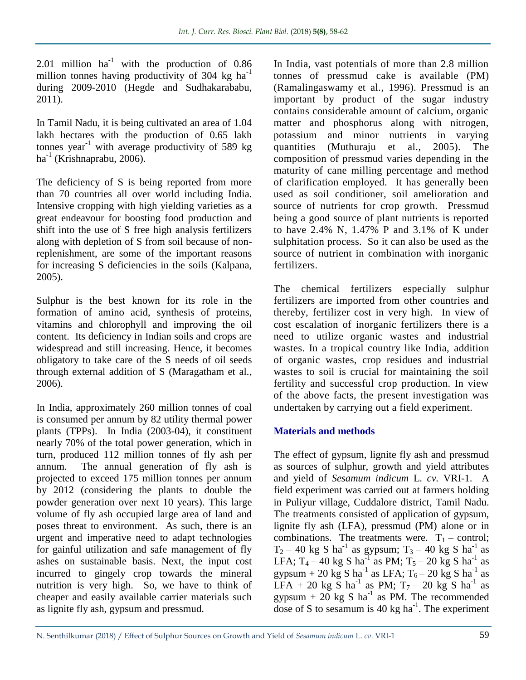2.01 million  $ha^{-1}$  with the production of 0.86 million tonnes having productivity of 304 kg  $ha^{-1}$ during 2009-2010 (Hegde and Sudhakarababu, 2011).

In Tamil Nadu, it is being cultivated an area of 1.04 lakh hectares with the production of 0.65 lakh tonnes year<sup>-1</sup> with average productivity of 589 kg ha<sup>-1</sup> (Krishnaprabu, 2006).

The deficiency of S is being reported from more than 70 countries all over world including India. Intensive cropping with high yielding varieties as a great endeavour for boosting food production and shift into the use of S free high analysis fertilizers along with depletion of S from soil because of nonreplenishment, are some of the important reasons for increasing S deficiencies in the soils (Kalpana, 2005).

Sulphur is the best known for its role in the formation of amino acid, synthesis of proteins, vitamins and chlorophyll and improving the oil content. Its deficiency in Indian soils and crops are widespread and still increasing. Hence, it becomes obligatory to take care of the S needs of oil seeds through external addition of S (Maragatham et al*.,*  2006).

In India, approximately 260 million tonnes of coal is consumed per annum by 82 utility thermal power plants (TPPs). In India (2003-04), it constituent nearly 70% of the total power generation, which in turn, produced 112 million tonnes of fly ash per annum. The annual generation of fly ash is projected to exceed 175 million tonnes per annum by 2012 (considering the plants to double the powder generation over next 10 years). This large volume of fly ash occupied large area of land and poses threat to environment. As such, there is an urgent and imperative need to adapt technologies for gainful utilization and safe management of fly ashes on sustainable basis. Next, the input cost incurred to gingely crop towards the mineral nutrition is very high. So, we have to think of cheaper and easily available carrier materials such as lignite fly ash, gypsum and pressmud.

In India, vast potentials of more than 2.8 million tonnes of pressmud cake is available (PM) (Ramalingaswamy et al*.,* 1996). Pressmud is an important by product of the sugar industry contains considerable amount of calcium, organic matter and phosphorus along with nitrogen, potassium and minor nutrients in varying quantities (Muthuraju et al*.,* 2005). The composition of pressmud varies depending in the maturity of cane milling percentage and method of clarification employed. It has generally been used as soil conditioner, soil amelioration and source of nutrients for crop growth. Pressmud being a good source of plant nutrients is reported to have 2.4% N, 1.47% P and 3.1% of K under sulphitation process. So it can also be used as the source of nutrient in combination with inorganic fertilizers.

The chemical fertilizers especially sulphur fertilizers are imported from other countries and thereby, fertilizer cost in very high. In view of cost escalation of inorganic fertilizers there is a need to utilize organic wastes and industrial wastes. In a tropical country like India, addition of organic wastes, crop residues and industrial wastes to soil is crucial for maintaining the soil fertility and successful crop production. In view of the above facts, the present investigation was undertaken by carrying out a field experiment.

#### **Materials and methods**

The effect of gypsum, lignite fly ash and pressmud as sources of sulphur, growth and yield attributes and yield of *Sesamum indicum* L. *cv.* VRI-1. A field experiment was carried out at farmers holding in Puliyur village, Cuddalore district, Tamil Nadu. The treatments consisted of application of gypsum, lignite fly ash (LFA), pressmud (PM) alone or in combinations. The treatments were.  $T_1$  – control;  $T_2$  – 40 kg S ha<sup>-1</sup> as gypsum;  $T_3$  – 40 kg S ha<sup>-1</sup> as LFA;  $T_4 - 40$  kg S ha<sup>-1</sup> as PM;  $T_5 - 20$  kg S ha<sup>-1</sup> as gypsum + 20 kg S ha<sup>-1</sup> as LFA;  $T_6$  – 20 kg S ha<sup>-1</sup> as LFA + 20 kg S ha<sup>-1</sup> as PM;  $T_7$  – 20 kg S ha<sup>-1</sup> as gypsum + 20 kg S ha<sup>-1</sup> as PM. The recommended dose of S to sesamum is  $40 \text{ kg}$  ha<sup>-1</sup>. The experiment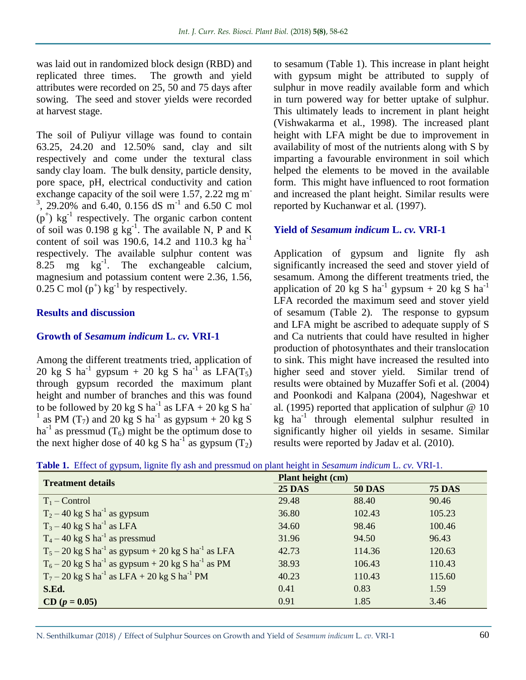was laid out in randomized block design (RBD) and replicated three times. The growth and yield attributes were recorded on 25, 50 and 75 days after sowing. The seed and stover yields were recorded at harvest stage.

The soil of Puliyur village was found to contain 63.25, 24.20 and 12.50% sand, clay and silt respectively and come under the textural class sandy clay loam. The bulk density, particle density, pore space, pH, electrical conductivity and cation exchange capacity of the soil were 1.57, 2.22 mg m<sup>-</sup>  $3, 29.20\%$  and 6.40, 0.156 dS m<sup>-1</sup> and 6.50 C mol  $(p^+)$  kg<sup>-1</sup> respectively. The organic carbon content of soil was  $0.198$  g kg<sup>-1</sup>. The available N, P and K content of soil was 190.6, 14.2 and 110.3 kg ha<sup>-1</sup> respectively. The available sulphur content was  $8.25 \text{ mg} \text{ kg}^{-1}$ . The exchangeable calcium, magnesium and potassium content were 2.36, 1.56,  $0.25$  C mol  $(p^+)$  kg<sup>-1</sup> by respectively.

#### **Results and discussion**

#### **Growth of** *Sesamum indicum* **L.** *cv.* **VRI-1**

Among the different treatments tried, application of 20 kg S ha<sup>-1</sup> gypsum + 20 kg S ha<sup>-1</sup> as LFA(T<sub>5</sub>) through gypsum recorded the maximum plant height and number of branches and this was found to be followed by 20 kg S ha<sup>-1</sup> as LFA + 20 kg S ha<sup>-1</sup> <sup>1</sup> as PM (T<sub>7</sub>) and 20 kg S ha<sup>-1</sup> as gypsum + 20 kg S ha<sup>-1</sup> as pressmud  $(T_6)$  might be the optimum dose to the next higher dose of 40 kg S ha<sup>-1</sup> as gypsum  $(T_2)$  to sesamum (Table 1). This increase in plant height with gypsum might be attributed to supply of sulphur in move readily available form and which in turn powered way for better uptake of sulphur. This ultimately leads to increment in plant height (Vishwakarma et al*.*, 1998). The increased plant height with LFA might be due to improvement in availability of most of the nutrients along with S by imparting a favourable environment in soil which helped the elements to be moved in the available form. This might have influenced to root formation and increased the plant height. Similar results were reported by Kuchanwar et al*.* (1997).

#### **Yield of** *Sesamum indicum* **L.** *cv.* **VRI-1**

Application of gypsum and lignite fly ash significantly increased the seed and stover yield of sesamum. Among the different treatments tried, the application of 20 kg S ha<sup>-1</sup> gypsum + 20 kg S ha<sup>-1</sup> LFA recorded the maximum seed and stover yield of sesamum (Table 2). The response to gypsum and LFA might be ascribed to adequate supply of S and Ca nutrients that could have resulted in higher production of photosynthates and their translocation to sink. This might have increased the resulted into higher seed and stover yield. Similar trend of results were obtained by Muzaffer Sofi et al*.* (2004) and Poonkodi and Kalpana (2004), Nageshwar et al*.* (1995) reported that application of sulphur @ 10  $kg$  ha<sup>-1</sup> through elemental sulphur resulted in significantly higher oil yields in sesame. Similar results were reported by Jadav et al*.* (2010).

|  |  |  |  |  | Table 1. Effect of gypsum, lignite fly ash and pressmud on plant height in Sesamum indicum L. cv. VRI-1. |
|--|--|--|--|--|----------------------------------------------------------------------------------------------------------|
|--|--|--|--|--|----------------------------------------------------------------------------------------------------------|

| <b>Treatment details</b>                                                     | <b>Plant height (cm)</b> |               |               |  |
|------------------------------------------------------------------------------|--------------------------|---------------|---------------|--|
|                                                                              | <b>25 DAS</b>            | <b>50 DAS</b> | <b>75 DAS</b> |  |
| $T_1$ – Control                                                              | 29.48                    | 88.40         | 90.46         |  |
| $T_2 - 40$ kg S ha <sup>-1</sup> as gypsum                                   | 36.80                    | 102.43        | 105.23        |  |
| $T_3 - 40 \text{ kg S} \text{ ha}^{-1}$ as LFA                               | 34.60                    | 98.46         | 100.46        |  |
| $T_4 - 40 \text{ kg S} \text{ ha}^{-1}$ as pressmud                          | 31.96                    | 94.50         | 96.43         |  |
| $T_5 - 20$ kg S ha <sup>-1</sup> as gypsum + 20 kg S ha <sup>-1</sup> as LFA | 42.73                    | 114.36        | 120.63        |  |
| $T_6 - 20$ kg S ha <sup>-1</sup> as gypsum + 20 kg S ha <sup>-1</sup> as PM  | 38.93                    | 106.43        | 110.43        |  |
| $T_7 - 20$ kg S ha <sup>-1</sup> as LFA + 20 kg S ha <sup>-1</sup> PM        | 40.23                    | 110.43        | 115.60        |  |
| S.Ed.                                                                        | 0.41                     | 0.83          | 1.59          |  |
| $CD (p = 0.05)$                                                              | 0.91                     | 1.85          | 3.46          |  |

N. Senthilkumar (2018) / Effect of Sulphur Sources on Growth and Yield of *Sesamum indicum* L. *cv.* VRI-1 60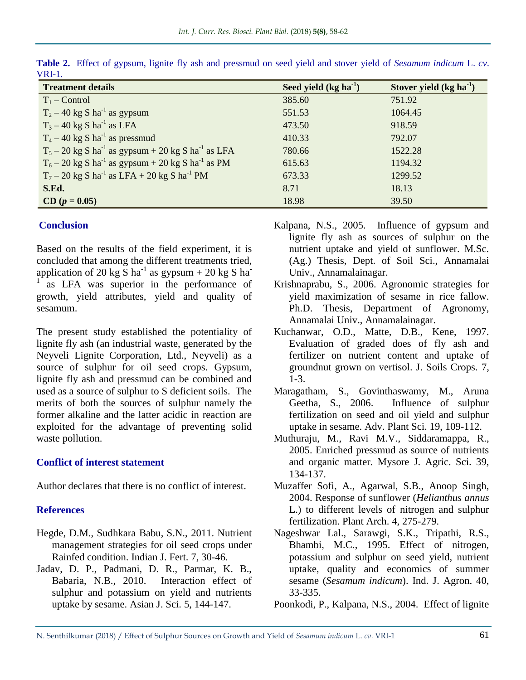| <b>Treatment details</b>                                                     | Seed yield $(kg ha-1)$ | Stover yield $(kg ha-1)$ |
|------------------------------------------------------------------------------|------------------------|--------------------------|
| $T_1$ – Control                                                              | 385.60                 | 751.92                   |
| $T_2 - 40$ kg S ha <sup>-1</sup> as gypsum                                   | 551.53                 | 1064.45                  |
| $T_3 - 40$ kg S ha <sup>-1</sup> as LFA                                      | 473.50                 | 918.59                   |
| $T_4 - 40$ kg S ha <sup>-1</sup> as pressmud                                 | 410.33                 | 792.07                   |
| $T_5 - 20$ kg S ha <sup>-1</sup> as gypsum + 20 kg S ha <sup>-1</sup> as LFA | 780.66                 | 1522.28                  |
| $T_6 - 20$ kg S ha <sup>-1</sup> as gypsum + 20 kg S ha <sup>-1</sup> as PM  | 615.63                 | 1194.32                  |
| $T_7 - 20$ kg S ha <sup>-1</sup> as LFA + 20 kg S ha <sup>-1</sup> PM        | 673.33                 | 1299.52                  |
| S.Ed.                                                                        | 8.71                   | 18.13                    |
| $CD (p = 0.05)$                                                              | 18.98                  | 39.50                    |

**Table 2.** Effect of gypsum, lignite fly ash and pressmud on seed yield and stover yield of *Sesamum indicum* L. *cv*. VRI-1.

#### **Conclusion**

Based on the results of the field experiment, it is concluded that among the different treatments tried, application of 20 kg  $\overline{S}$  ha<sup>-1</sup> as gypsum + 20 kg  $\overline{S}$  ha<sup>-1</sup> 1 as LFA was superior in the performance of growth, yield attributes, yield and quality of sesamum.

The present study established the potentiality of lignite fly ash (an industrial waste, generated by the Neyveli Lignite Corporation, Ltd., Neyveli) as a source of sulphur for oil seed crops. Gypsum, lignite fly ash and pressmud can be combined and used as a source of sulphur to S deficient soils. The merits of both the sources of sulphur namely the former alkaline and the latter acidic in reaction are exploited for the advantage of preventing solid waste pollution.

#### **Conflict of interest statement**

Author declares that there is no conflict of interest.

### **References**

- Hegde, D.M., Sudhkara Babu, S.N., 2011. Nutrient management strategies for oil seed crops under Rainfed condition. Indian J. Fert. 7, 30-46.
- Jadav, D. P., Padmani, D. R., Parmar, K. B., Babaria, N.B., 2010. Interaction effect of sulphur and potassium on yield and nutrients uptake by sesame. Asian J. Sci. 5, 144-147.
- Kalpana, N.S., 2005. Influence of gypsum and lignite fly ash as sources of sulphur on the nutrient uptake and yield of sunflower. M.Sc. (Ag.) Thesis, Dept. of Soil Sci., Annamalai Univ., Annamalainagar.
- Krishnaprabu, S., 2006. Agronomic strategies for yield maximization of sesame in rice fallow. Ph.D. Thesis, Department of Agronomy, Annamalai Univ., Annamalainagar.
- Kuchanwar, O.D., Matte, D.B., Kene, 1997. Evaluation of graded does of fly ash and fertilizer on nutrient content and uptake of groundnut grown on vertisol. J. Soils Crops*.* 7, 1-3.
- Maragatham, S., Govinthaswamy, M., Aruna Geetha, S., 2006. Influence of sulphur fertilization on seed and oil yield and sulphur uptake in sesame. Adv. Plant Sci. 19, 109-112.
- Muthuraju, M., Ravi M.V., Siddaramappa, R., 2005. Enriched pressmud as source of nutrients and organic matter. Mysore J. Agric. Sci. 39, 134-137.
- Muzaffer Sofi, A., Agarwal, S.B., Anoop Singh, 2004. Response of sunflower (*Helianthus annus*  L.) to different levels of nitrogen and sulphur fertilization. Plant Arch. 4, 275-279.
- Nageshwar Lal., Sarawgi, S.K., Tripathi, R.S., Bhambi, M.C., 1995. Effect of nitrogen, potassium and sulphur on seed yield, nutrient uptake, quality and economics of summer sesame (*Sesamum indicum*). Ind. J. Agron. 40, 33-335.
- Poonkodi, P., Kalpana, N.S., 2004. Effect of lignite